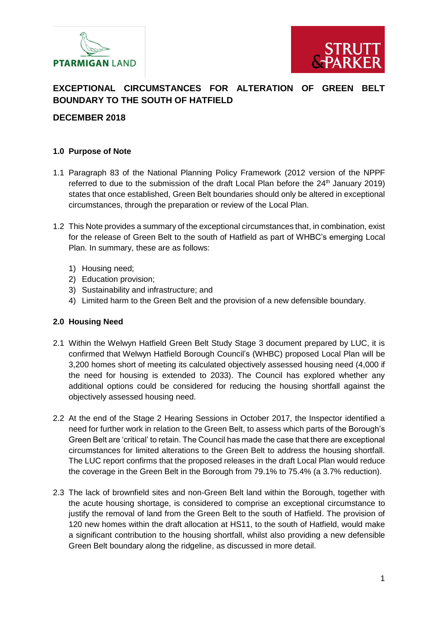



# **EXCEPTIONAL CIRCUMSTANCES FOR ALTERATION OF GREEN BELT BOUNDARY TO THE SOUTH OF HATFIELD**

# **DECEMBER 2018**

# **1.0 Purpose of Note**

- 1.1 Paragraph 83 of the National Planning Policy Framework (2012 version of the NPPF referred to due to the submission of the draft Local Plan before the  $24<sup>th</sup>$  January 2019) states that once established, Green Belt boundaries should only be altered in exceptional circumstances, through the preparation or review of the Local Plan.
- 1.2 This Note provides a summary of the exceptional circumstances that, in combination, exist for the release of Green Belt to the south of Hatfield as part of WHBC's emerging Local Plan. In summary, these are as follows:
	- 1) Housing need;
	- 2) Education provision;
	- 3) Sustainability and infrastructure; and
	- 4) Limited harm to the Green Belt and the provision of a new defensible boundary.

# **2.0 Housing Need**

- 2.1 Within the Welwyn Hatfield Green Belt Study Stage 3 document prepared by LUC, it is confirmed that Welwyn Hatfield Borough Council's (WHBC) proposed Local Plan will be 3,200 homes short of meeting its calculated objectively assessed housing need (4,000 if the need for housing is extended to 2033). The Council has explored whether any additional options could be considered for reducing the housing shortfall against the objectively assessed housing need.
- 2.2 At the end of the Stage 2 Hearing Sessions in October 2017, the Inspector identified a need for further work in relation to the Green Belt, to assess which parts of the Borough's Green Belt are 'critical' to retain. The Council has made the case that there are exceptional circumstances for limited alterations to the Green Belt to address the housing shortfall. The LUC report confirms that the proposed releases in the draft Local Plan would reduce the coverage in the Green Belt in the Borough from 79.1% to 75.4% (a 3.7% reduction).
- 2.3 The lack of brownfield sites and non-Green Belt land within the Borough, together with the acute housing shortage, is considered to comprise an exceptional circumstance to justify the removal of land from the Green Belt to the south of Hatfield. The provision of 120 new homes within the draft allocation at HS11, to the south of Hatfield, would make a significant contribution to the housing shortfall, whilst also providing a new defensible Green Belt boundary along the ridgeline, as discussed in more detail.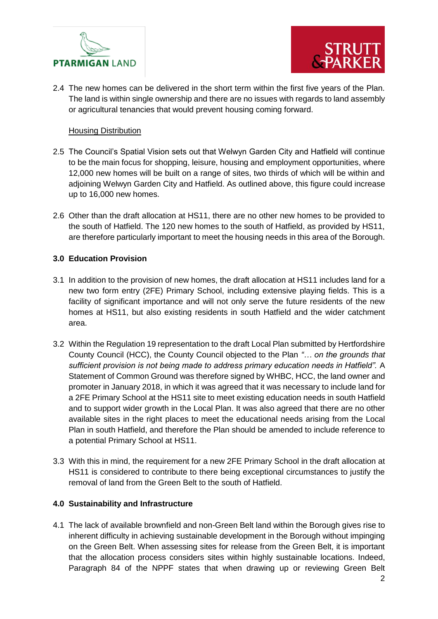



2.4 The new homes can be delivered in the short term within the first five years of the Plan. The land is within single ownership and there are no issues with regards to land assembly or agricultural tenancies that would prevent housing coming forward.

#### Housing Distribution

- 2.5 The Council's Spatial Vision sets out that Welwyn Garden City and Hatfield will continue to be the main focus for shopping, leisure, housing and employment opportunities, where 12,000 new homes will be built on a range of sites, two thirds of which will be within and adjoining Welwyn Garden City and Hatfield. As outlined above, this figure could increase up to 16,000 new homes.
- 2.6 Other than the draft allocation at HS11, there are no other new homes to be provided to the south of Hatfield. The 120 new homes to the south of Hatfield, as provided by HS11, are therefore particularly important to meet the housing needs in this area of the Borough.

#### **3.0 Education Provision**

- 3.1 In addition to the provision of new homes, the draft allocation at HS11 includes land for a new two form entry (2FE) Primary School, including extensive playing fields. This is a facility of significant importance and will not only serve the future residents of the new homes at HS11, but also existing residents in south Hatfield and the wider catchment area.
- 3.2 Within the Regulation 19 representation to the draft Local Plan submitted by Hertfordshire County Council (HCC), the County Council objected to the Plan *"… on the grounds that sufficient provision is not being made to address primary education needs in Hatfield".* A Statement of Common Ground was therefore signed by WHBC, HCC, the land owner and promoter in January 2018, in which it was agreed that it was necessary to include land for a 2FE Primary School at the HS11 site to meet existing education needs in south Hatfield and to support wider growth in the Local Plan. It was also agreed that there are no other available sites in the right places to meet the educational needs arising from the Local Plan in south Hatfield, and therefore the Plan should be amended to include reference to a potential Primary School at HS11.
- 3.3 With this in mind, the requirement for a new 2FE Primary School in the draft allocation at HS11 is considered to contribute to there being exceptional circumstances to justify the removal of land from the Green Belt to the south of Hatfield.

# **4.0 Sustainability and Infrastructure**

4.1 The lack of available brownfield and non-Green Belt land within the Borough gives rise to inherent difficulty in achieving sustainable development in the Borough without impinging on the Green Belt. When assessing sites for release from the Green Belt, it is important that the allocation process considers sites within highly sustainable locations. Indeed, Paragraph 84 of the NPPF states that when drawing up or reviewing Green Belt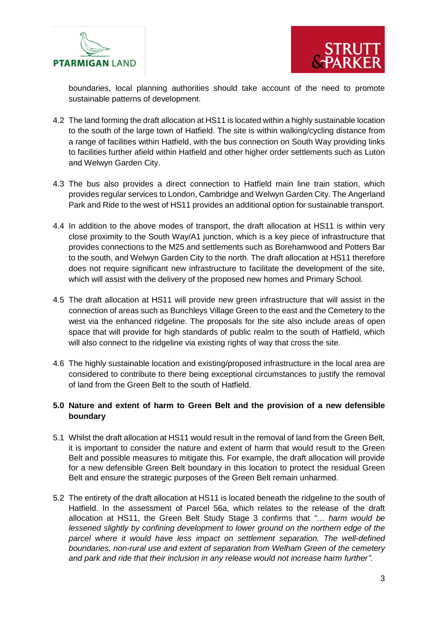



boundaries, local planning authorities should take account of the need to promote sustainable patterns of development.

- 4.2 The land forming the draft allocation at HS11 is located within a highly sustainable location to the south of the large town of Hatfield. The site is within walking/cycling distance from a range of facilities within Hatfield, with the bus connection on South Way providing links to facilities further afield within Hatfield and other higher order settlements such as Luton and Welwyn Garden City.
- 4.3 The bus also provides a direct connection to Hatfield main line train station, which provides regular services to London, Cambridge and Welwyn Garden City. The Angerland Park and Ride to the west of HS11 provides an additional option for sustainable transport.
- 4.4 In addition to the above modes of transport, the draft allocation at HS11 is within very close proximity to the South Way/A1 junction, which is a key piece of infrastructure that provides connections to the M25 and settlements such as Borehamwood and Potters Bar to the south, and Welwyn Garden City to the north. The draft allocation at HS11 therefore does not require significant new infrastructure to facilitate the development of the site, which will assist with the delivery of the proposed new homes and Primary School.
- 4.5 The draft allocation at HS11 will provide new green infrastructure that will assist in the connection of areas such as Bunchleys Village Green to the east and the Cemetery to the west via the enhanced ridgeline. The proposals for the site also include areas of open space that will provide for high standards of public realm to the south of Hatfield, which will also connect to the ridgeline via existing rights of way that cross the site.
- 4.6 The highly sustainable location and existing/proposed infrastructure in the local area are considered to contribute to there being exceptional circumstances to justify the removal of land from the Green Belt to the south of Hatfield.

# **5.0 Nature and extent of harm to Green Belt and the provision of a new defensible boundary**

- 5.1 Whilst the draft allocation at HS11 would result in the removal of land from the Green Belt, it is important to consider the nature and extent of harm that would result to the Green Belt and possible measures to mitigate this. For example, the draft allocation will provide for a new defensible Green Belt boundary in this location to protect the residual Green Belt and ensure the strategic purposes of the Green Belt remain unharmed.
- 5.2 The entirety of the draft allocation at HS11 is located beneath the ridgeline to the south of Hatfield. In the assessment of Parcel 56a, which relates to the release of the draft allocation at HS11, the Green Belt Study Stage 3 confirms that *"… harm would be lessened slightly by confining development to lower ground on the northern edge of the parcel where it would have less impact on settlement separation. The well-defined boundaries, non-rural use and extent of separation from Welham Green of the cemetery and park and ride that their inclusion in any release would not increase harm further"*.